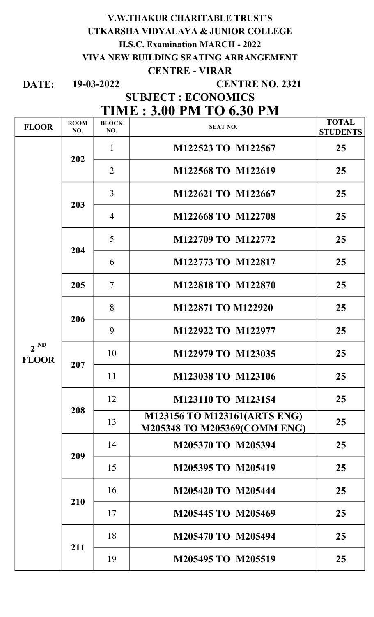# V.W.THAKUR CHARITABLE TRUST'S UTKARSHA VIDYALAYA & JUNIOR COLLEGE H.S.C. Examination MARCH - 2022 VIVA NEW BUILDING SEATING ARRANGEMENT CENTRE - VIRAR

DATE: 19-03-2022

#### CENTRE NO. 2321

# SUBJECT : ECONOMICS

# TIME : 3.00 PM TO 6.30 PM

| <b>FLOOR</b>             | <b>ROOM</b><br>NO. | <b>BLOCK</b><br>NO. | <b>SEAT NO.</b>                                              | <b>TOTAL</b><br><b>STUDENTS</b> |
|--------------------------|--------------------|---------------------|--------------------------------------------------------------|---------------------------------|
| $2^{ND}$<br><b>FLOOR</b> | 202                | $\mathbf{1}$        | M122523 TO M122567                                           | 25                              |
|                          |                    | $\overline{2}$      | M122568 TO M122619                                           | 25                              |
|                          | 203                | $\overline{3}$      | M122621 TO M122667                                           | 25                              |
|                          |                    | $\overline{4}$      | M122668 TO M122708                                           | 25                              |
|                          | 204                | 5                   | M122709 TO M122772                                           | 25                              |
|                          |                    | 6                   | M122773 TO M122817                                           | 25                              |
|                          | 205                | $\overline{7}$      | M122818 TO M122870                                           | 25                              |
|                          | 206                | 8                   | M122871 TO M122920                                           | 25                              |
|                          |                    | 9                   | M122922 TO M122977                                           | 25                              |
|                          | 207                | 10                  | M122979 TO M123035                                           | 25                              |
|                          |                    | 11                  | M123038 TO M123106                                           | 25                              |
|                          | 208                | 12                  | M123110 TO M123154                                           | 25                              |
|                          |                    | 13                  | M123156 TO M123161(ARTS ENG)<br>M205348 TO M205369(COMM ENG) | 25                              |
|                          | 209                | 14                  | M205370 TO M205394                                           | 25                              |
|                          |                    | 15                  | M205395 TO M205419                                           | 25                              |
|                          | 210                | 16                  | M205420 TO M205444                                           | 25                              |
|                          |                    | 17                  | M205445 TO M205469                                           | 25                              |
|                          | 211                | 18                  | M205470 TO M205494                                           | 25                              |
|                          |                    | 19                  | M205495 TO M205519                                           | 25                              |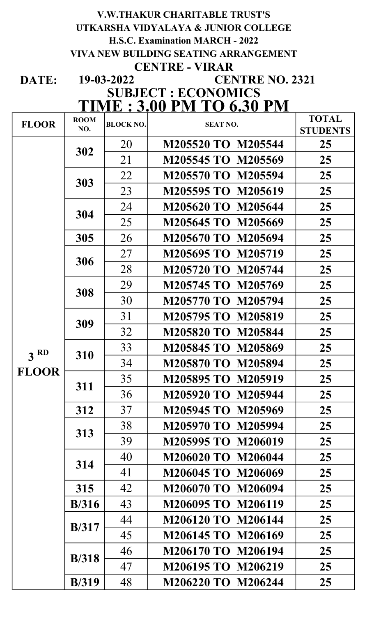# V.W.THAKUR CHARITABLE TRUST'S UTKARSHA VIDYALAYA & JUNIOR COLLEGE H.S.C. Examination MARCH - 2022 VIVA NEW BUILDING SEATING ARRANGEMENT CENTRE - VIRAR

DATE:

#### 19-03-2022 TIME : 3.00 PM TO 6.30 PM CENTRE NO. 2321 SUBJECT : ECONOMICS

| <b>FLOOR</b>    | <b>ROOM</b>   | <b>BLOCK NO.</b> | <b>SEAT NO.</b>    | <b>TOTAL</b>    |
|-----------------|---------------|------------------|--------------------|-----------------|
|                 | NO.           |                  |                    | <b>STUDENTS</b> |
|                 | 302           | 20               | M205520 TO M205544 | 25              |
|                 |               | 21               | M205545 TO M205569 | 25              |
|                 | 303           | 22               | M205570 TO M205594 | 25              |
|                 |               | 23               | M205595 TO M205619 | 25              |
|                 | 304           | 24               | M205620 TO M205644 | 25              |
|                 |               | 25               | M205645 TO M205669 | 25              |
|                 | 305           | 26               | M205670 TO M205694 | 25              |
|                 | 306           | 27               | M205695 TO M205719 | 25              |
|                 |               | 28               | M205720 TO M205744 | 25              |
|                 |               | 29               | M205745 TO M205769 | 25              |
|                 | 308           | 30               | M205770 TO M205794 | 25              |
|                 |               | 31               | M205795 TO M205819 | 25              |
|                 | 309           | 32               | M205820 TO M205844 | 25              |
|                 | 310           | 33               | M205845 TO M205869 | 25              |
| 3 <sup>RD</sup> |               | 34               | M205870 TO M205894 | 25              |
| <b>FLOOR</b>    | 311           | 35               | M205895 TO M205919 | 25              |
|                 |               | 36               | M205920 TO M205944 | 25              |
|                 | 312           | 37               | M205945 TO M205969 | 25              |
|                 | 313           | 38               | M205970 TO M205994 | 25              |
|                 |               | 39               | M205995 TO M206019 | 25              |
|                 | 314           | 40               | M206020 TO M206044 | 25              |
|                 |               | 41               | M206045 TO M206069 | 25              |
|                 | 315           | 42               | M206070 TO M206094 | 25              |
|                 | B/316         | 43               | M206095 TO M206119 | 25              |
|                 |               | 44               | M206120 TO M206144 | 25              |
|                 | B/317         | 45               | M206145 TO M206169 | 25              |
|                 | B/318         | 46               | M206170 TO M206194 | 25              |
|                 |               | 47               | M206195 TO M206219 | 25              |
|                 | <b>B</b> /319 | 48               | M206220 TO M206244 | 25              |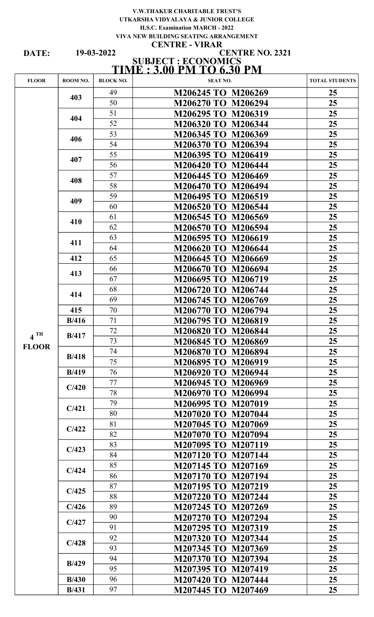#### V.W.THAKUR CHARITABLE TRUST'S UTKARSHA VIDYALAYA & JUNIOR COLLEGE H.S.C. Examination MARCH - 2022 VIVA NEW BUILDING SEATING ARRANGEMENT CENTRE - VIRAR

DATE:

#### SUBJECT : ECONOMICS TIME : 3.00 PM TO 6.30 PM CENTRE NO. 2321 19-03-2022

| <b>FLOOR</b>      | ROOM NO. | <b>BLOCK NO.</b> | <b>SEAT NO.</b>              | <b>TOTAL STUDENTS</b> |
|-------------------|----------|------------------|------------------------------|-----------------------|
|                   | 403      | 49               | M206245 TO M206269           | 25                    |
|                   |          | 50               | M206294<br><b>M206270 TO</b> | 25                    |
|                   | 404      | 51               | <b>M206295 TO</b><br>M206319 | 25 <sub>1</sub>       |
|                   |          | 52               | <b>M206320 TO</b><br>M206344 | 25 <sub>1</sub>       |
|                   | 406      | 53               | <b>M206345 TO</b><br>M206369 | 25 <sub>1</sub>       |
|                   |          | 54               | <b>M206370 TO</b><br>M206394 | 25 <sub>1</sub>       |
|                   | 407      | 55               | <b>M206395 TO</b><br>M206419 | 25                    |
|                   |          | 56               | <b>M206420 TO</b><br>M206444 | 25 <sub>1</sub>       |
|                   | 408      | 57               | <b>M206445 TO</b><br>M206469 | 25 <sub>1</sub>       |
|                   |          | 58               | <b>M206470 TO</b><br>M206494 | 25 <sub>1</sub>       |
|                   | 409      | 59               | <b>M206495 TO</b><br>M206519 | 25 <sub>1</sub>       |
|                   |          | 60               | <b>M206520 TO</b><br>M206544 | 25                    |
|                   | 410      | 61               | <b>M206545 TO</b><br>M206569 | 25 <sub>1</sub>       |
|                   |          | 62               | <b>M206570 TO</b><br>M206594 | 25 <sub>1</sub>       |
|                   | 411      | 63               | M206595 TO<br>M206619        | 25 <sub>1</sub>       |
|                   |          | 64               | <b>M206620 TO</b><br>M206644 | 25 <sub>1</sub>       |
|                   | 412      | 65               | <b>M206645 TO</b><br>M206669 | 25 <sub>1</sub>       |
|                   | 413      | 66               | <b>M206670 TO</b><br>M206694 | 25                    |
|                   |          | 67               | <b>M206695 TO</b><br>M206719 | 25 <sub>1</sub>       |
|                   | 414      | 68               | <b>M206720 TO</b><br>M206744 | 25 <sub>1</sub>       |
|                   |          | 69               | <b>M206745 TO</b><br>M206769 | 25 <sub>1</sub>       |
|                   | 415      | 70               | <b>M206770 TO</b><br>M206794 | 25 <sub>1</sub>       |
|                   | B/416    | 71               | M206795 TO<br>M206819        | 25                    |
| $4$ <sup>TH</sup> | B/417    | 72               | <b>M206820 TO</b><br>M206844 | 25                    |
| <b>FLOOR</b>      |          | 73               | <b>M206845 TO</b><br>M206869 | 25                    |
|                   | B/418    | 74               | M206870 TO M206894           | 25                    |
|                   |          | 75               | M206895 TO M206919           | 25 <sub>1</sub>       |
|                   | B/419    | 76               | M206920 TO M206944           | 25                    |
|                   | C/420    | 77               | <b>M206945 TO</b><br>M206969 | 25                    |
|                   |          | 78               | <b>M206970 TO</b><br>M206994 | 25 <sub>1</sub>       |
|                   | C/421    | 79               | <b>M206995 TO</b><br>M207019 | 25 <sub>1</sub>       |
|                   |          | 80               | <b>M207020 TO</b><br>M207044 | 25 <sub>1</sub>       |
|                   | C/422    | 81               | <b>M207045 TO</b><br>M207069 | 25 <sub>1</sub>       |
|                   |          | 82               | <b>M207070 TO</b><br>M207094 | 25                    |
|                   | C/423    | 83               | <b>M207095 TO</b><br>M207119 | 25 <sub>1</sub>       |
|                   |          | 84               | M207120 TO M207144           | 25 <sub>1</sub>       |
|                   | C/424    | 85               | M207145 TO M207169           | 25 <sub>1</sub>       |
|                   |          | 86               | <b>M207170 TO</b><br>M207194 | 25 <sub>1</sub>       |
|                   | C/425    | 87               | <b>M207195 TO</b><br>M207219 | 25                    |
|                   |          | 88               | <b>M207220 TO</b><br>M207244 | 25                    |
|                   | C/426    | 89               | M207245 TO M207269           | 25                    |
|                   | C/427    | 90               | <b>M207270 TO</b><br>M207294 | 25                    |
|                   |          | 91               | <b>M207295 TO</b><br>M207319 | 25                    |
|                   | C/428    | 92               | <b>M207320 TO</b><br>M207344 | 25 <sub>1</sub>       |
|                   |          | 93               | <b>M207345 TO</b><br>M207369 | 25                    |
|                   | B/429    | 94               | <b>M207370 TO</b><br>M207394 | 25                    |
|                   |          | 95               | M207419<br><b>M207395 TO</b> | 25 <sub>1</sub>       |
|                   | B/430    | 96               | M207420 TO M207444           | 25 <sub>1</sub>       |
|                   | B/431    | 97               | M207445 TO M207469           | 25 <sub>1</sub>       |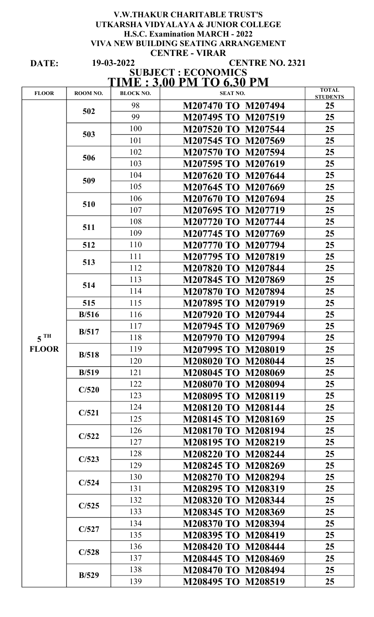#### V.W.THAKUR CHARITABLE TRUST'S UTKARSHA VIDYALAYA & JUNIOR COLLEGE H.S.C. Examination MARCH - 2022 VIVA NEW BUILDING SEATING ARRANGEMENT CENTRE - VIRAR 19-03-2022

DATE:

## CENTRE NO. 2321

#### SUBJECT : ECONOMICS TIME : 3.00 PM TO 6.30 PM

| <b>FLOOR</b>      | ROOM NO. | <b>BLOCK NO.</b> | <b>SEAT NO.</b>    | <b>TOTAL</b><br><b>STUDENTS</b> |
|-------------------|----------|------------------|--------------------|---------------------------------|
|                   | 502      | 98               | M207470 TO M207494 | 25                              |
|                   |          | 99               | M207495 TO M207519 | 25 <sub>1</sub>                 |
|                   | 503      | 100              | M207520 TO M207544 | 25                              |
|                   |          | 101              | M207545 TO M207569 | 25                              |
|                   | 506      | 102              | M207570 TO M207594 | 25                              |
|                   |          | 103              | M207595 TO M207619 | 25                              |
|                   | 509      | 104              | M207620 TO M207644 | 25 <sub>1</sub>                 |
|                   |          | 105              | M207645 TO M207669 | 25                              |
|                   | 510      | 106              | M207670 TO M207694 | 25                              |
|                   |          | 107              | M207695 TO M207719 | 25 <sub>1</sub>                 |
|                   | 511      | 108              | M207720 TO M207744 | 25                              |
|                   |          | 109              | M207745 TO M207769 | 25                              |
|                   | 512      | 110              | M207770 TO M207794 | 25                              |
|                   | 513      | 111              | M207795 TO M207819 | 25                              |
|                   |          | 112              | M207820 TO M207844 | 25                              |
|                   | 514      | 113              | M207845 TO M207869 | 25                              |
|                   |          | 114              | M207870 TO M207894 | 25                              |
|                   | 515      | 115              | M207895 TO M207919 | 25                              |
|                   | B/516    | 116              | M207920 TO M207944 | 25                              |
|                   | B/517    | 117              | M207945 TO M207969 | 25                              |
| $5$ <sup>TH</sup> |          | 118              | M207970 TO M207994 | 25                              |
| <b>FLOOR</b>      | B/518    | 119              | M207995 TO M208019 | 25                              |
|                   |          | 120              | M208020 TO M208044 | 25                              |
|                   | B/519    | 121              | M208045 TO M208069 | 25                              |
|                   | C/520    | 122              | M208070 TO M208094 | 25                              |
|                   |          | 123              | M208095 TO M208119 | 25 <sub>1</sub>                 |
|                   | C/521    | 124              | M208120 TO M208144 | 25                              |
|                   |          | 125              | M208145 TO M208169 | 25                              |
|                   | C/522    | 126              | M208170 TO M208194 | 25 <sub>1</sub>                 |
|                   |          | 127              | M208195 TO M208219 | 25 <sub>1</sub>                 |
|                   | C/523    | 128              | M208220 TO M208244 | 25                              |
|                   |          | 129              | M208245 TO M208269 | 25 <sub>1</sub>                 |
|                   | C/524    | 130              | M208270 TO M208294 | 25                              |
|                   |          | 131              | M208295 TO M208319 | 25                              |
|                   | C/525    | 132              | M208320 TO M208344 | 25 <sub>1</sub>                 |
|                   |          | 133              | M208345 TO M208369 | 25                              |
|                   | C/527    | 134              | M208370 TO M208394 | 25                              |
|                   |          | 135              | M208395 TO M208419 | 25 <sub>1</sub>                 |
|                   | C/528    | 136              | M208420 TO M208444 | 25                              |
|                   |          | 137              | M208445 TO M208469 | 25                              |
|                   | B/529    | 138              | M208470 TO M208494 | 25                              |
|                   |          | 139              | M208495 TO M208519 | 25                              |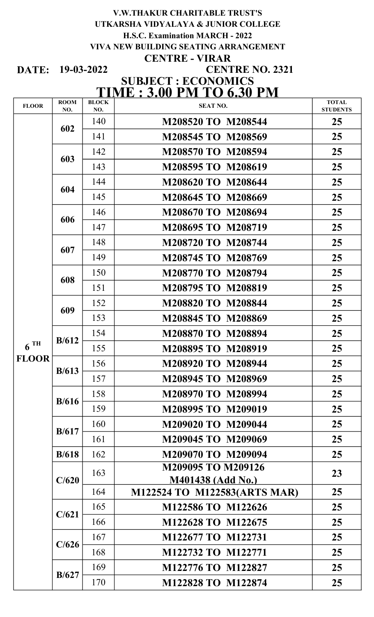### V.W.THAKUR CHARITABLE TRUST'S H.S.C. Examination MARCH - 2022 UTKARSHA VIDYALAYA & JUNIOR COLLEGE CENTRE - VIRAR VIVA NEW BUILDING SEATING ARRANGEMENT

DATE: 19-03-2022

# CENTRE NO. 2321 SUBJECT : ECONOMICS TIME : 3.00 PM TO 6.30 PM

| <b>FLOOR</b>      | <b>ROOM</b><br>NO. | <b>BLOCK</b><br>NO. | <b>SEAT NO.</b>                                | <b>TOTAL</b><br><b>STUDENTS</b> |
|-------------------|--------------------|---------------------|------------------------------------------------|---------------------------------|
|                   | 602                | 140                 | M208520 TO M208544                             | 25                              |
|                   |                    | 141                 | M208545 TO M208569                             | 25                              |
|                   | 603                | 142                 | M208570 TO M208594                             | 25                              |
|                   |                    | 143                 | M208595 TO M208619                             | 25                              |
|                   | 604                | 144                 | M208620 TO M208644                             | 25                              |
|                   |                    | 145                 | M208645 TO M208669                             | 25                              |
|                   | 606                | 146                 | M208670 TO M208694                             | 25                              |
|                   |                    | 147                 | M208695 TO M208719                             | 25                              |
|                   | 607                | 148                 | M208720 TO M208744                             | 25                              |
|                   |                    | 149                 | M208745 TO M208769                             | 25                              |
|                   | 608                | 150                 | M208770 TO M208794                             | 25                              |
|                   |                    | 151                 | M208795 TO M208819                             | 25                              |
|                   | 609                | 152                 | M208820 TO M208844                             | 25                              |
|                   |                    | 153                 | M208845 TO M208869                             | 25                              |
|                   | B/612              | 154                 | M208870 TO M208894                             | 25                              |
| $6$ <sup>TH</sup> |                    | 155                 | M208895 TO M208919                             | 25                              |
| <b>FLOOR</b>      | B/613              | 156                 | M208920 TO M208944                             | 25                              |
|                   |                    | 157                 | M208945 TO M208969                             | 25                              |
|                   | B/616              | 158                 | M208970 TO M208994                             | 25                              |
|                   |                    | 159                 | M208995 TO M209019                             | 25                              |
|                   | B/617              | 160                 | M209020 TO M209044                             | 25                              |
|                   |                    | 161                 | M209045 TO M209069                             | 25                              |
|                   | B/618              | 162                 | M209070 TO M209094                             | 25                              |
|                   | C/620              | 163                 | <b>M209095 TO M209126</b><br>M401438 (Add No.) | 23                              |
|                   |                    | 164                 | M122524 TO M122583(ARTS MAR)                   | 25                              |
|                   | C/621              | 165                 | M122586 TO M122626                             | 25                              |
|                   |                    | 166                 | M122628 TO M122675                             | 25                              |
|                   | C/626              | 167                 | M122677 TO M122731                             | 25                              |
|                   |                    | 168                 | M122732 TO M122771                             | 25                              |
|                   | B/627              | 169                 | M122776 TO M122827                             | 25                              |
|                   |                    | 170                 | M122828 TO M122874                             | 25                              |